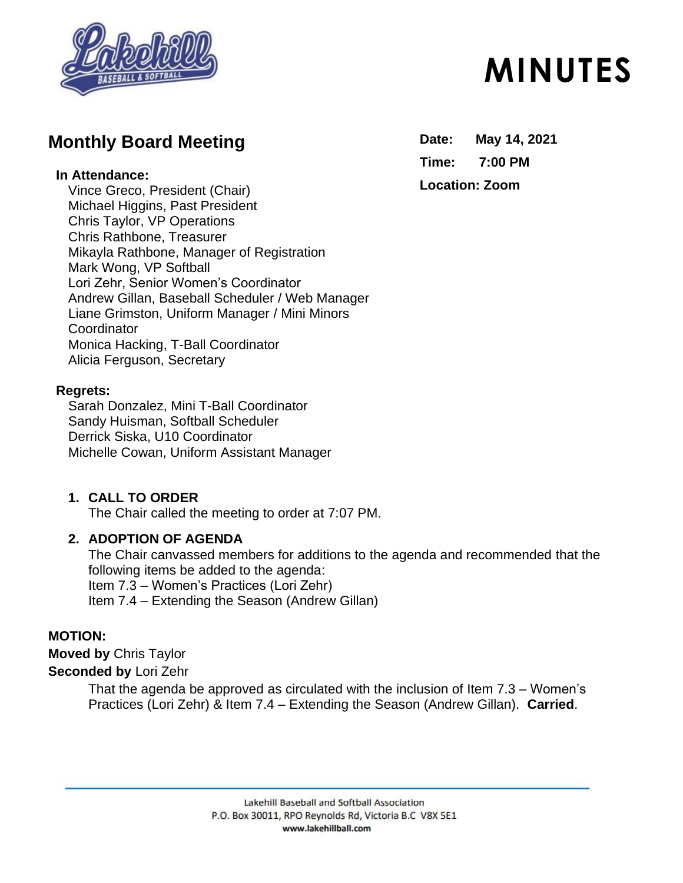

# **Monthly Board Meeting**

#### **In Attendance:**

Vince Greco, President (Chair) Michael Higgins, Past President Chris Taylor, VP Operations Chris Rathbone, Treasurer Mikayla Rathbone, Manager of Registration Mark Wong, VP Softball Lori Zehr, Senior Women's Coordinator Andrew Gillan, Baseball Scheduler / Web Manager Liane Grimston, Uniform Manager / Mini Minors **Coordinator** Monica Hacking, T-Ball Coordinator Alicia Ferguson, Secretary

#### **Regrets:**

Sarah Donzalez, Mini T-Ball Coordinator Sandy Huisman, Softball Scheduler Derrick Siska, U10 Coordinator Michelle Cowan, Uniform Assistant Manager

#### **1. CALL TO ORDER**

The Chair called the meeting to order at 7:07 PM.

#### **2. ADOPTION OF AGENDA**

The Chair canvassed members for additions to the agenda and recommended that the following items be added to the agenda: Item 7.3 – Women's Practices (Lori Zehr) Item 7.4 – Extending the Season (Andrew Gillan)

#### **MOTION:**

**Moved by** Chris Taylor **Seconded by** Lori Zehr

> That the agenda be approved as circulated with the inclusion of Item 7.3 – Women's Practices (Lori Zehr) & Item 7.4 – Extending the Season (Andrew Gillan). **Carried**.

# **MINUTES**

**Date: May 14, 2021 Time: 7:00 PM Location: Zoom**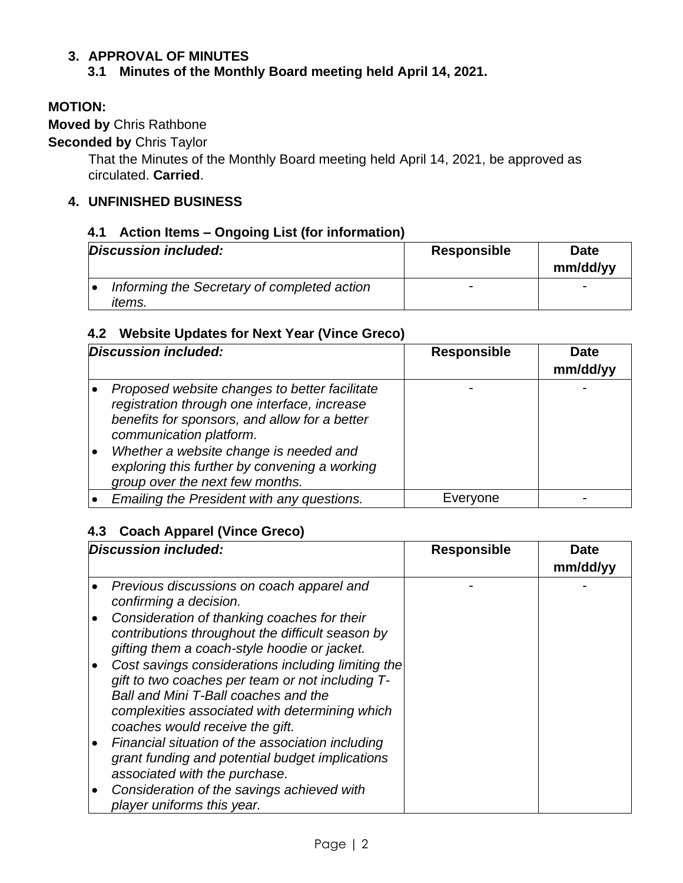### **3. APPROVAL OF MINUTES**

#### **3.1 Minutes of the Monthly Board meeting held April 14, 2021.**

#### **MOTION:**

**Moved by** Chris Rathbone

#### **Seconded by** Chris Taylor

That the Minutes of the Monthly Board meeting held April 14, 2021, be approved as circulated. **Carried**.

### **4. UNFINISHED BUSINESS**

#### **4.1 Action Items – Ongoing List (for information)**

| Discussion included:                                         | <b>Responsible</b> | <b>Date</b><br>mm/dd/yy |
|--------------------------------------------------------------|--------------------|-------------------------|
| Informing the Secretary of completed action<br><i>items.</i> |                    | -                       |

#### **4.2 Website Updates for Next Year (Vince Greco)**

| Discussion included:                                                                                                                                                                                                                                                                                    | <b>Responsible</b> | <b>Date</b><br>mm/dd/yy |
|---------------------------------------------------------------------------------------------------------------------------------------------------------------------------------------------------------------------------------------------------------------------------------------------------------|--------------------|-------------------------|
| Proposed website changes to better facilitate<br>registration through one interface, increase<br>benefits for sponsors, and allow for a better<br>communication platform.<br>Whether a website change is needed and<br>exploring this further by convening a working<br>group over the next few months. |                    |                         |
| Emailing the President with any questions.                                                                                                                                                                                                                                                              | Everyone           |                         |

#### **4.3 Coach Apparel (Vince Greco)**

|   | <b>Discussion included:</b>                                                                                                                                                                                                         | <b>Responsible</b> | Date<br>mm/dd/yy |
|---|-------------------------------------------------------------------------------------------------------------------------------------------------------------------------------------------------------------------------------------|--------------------|------------------|
|   | Previous discussions on coach apparel and<br>confirming a decision.                                                                                                                                                                 |                    |                  |
|   | Consideration of thanking coaches for their<br>contributions throughout the difficult season by<br>gifting them a coach-style hoodie or jacket.                                                                                     |                    |                  |
|   | Cost savings considerations including limiting the<br>gift to two coaches per team or not including T-<br>Ball and Mini T-Ball coaches and the<br>complexities associated with determining which<br>coaches would receive the gift. |                    |                  |
| ٠ | Financial situation of the association including<br>grant funding and potential budget implications<br>associated with the purchase.                                                                                                |                    |                  |
|   | Consideration of the savings achieved with<br>player uniforms this year.                                                                                                                                                            |                    |                  |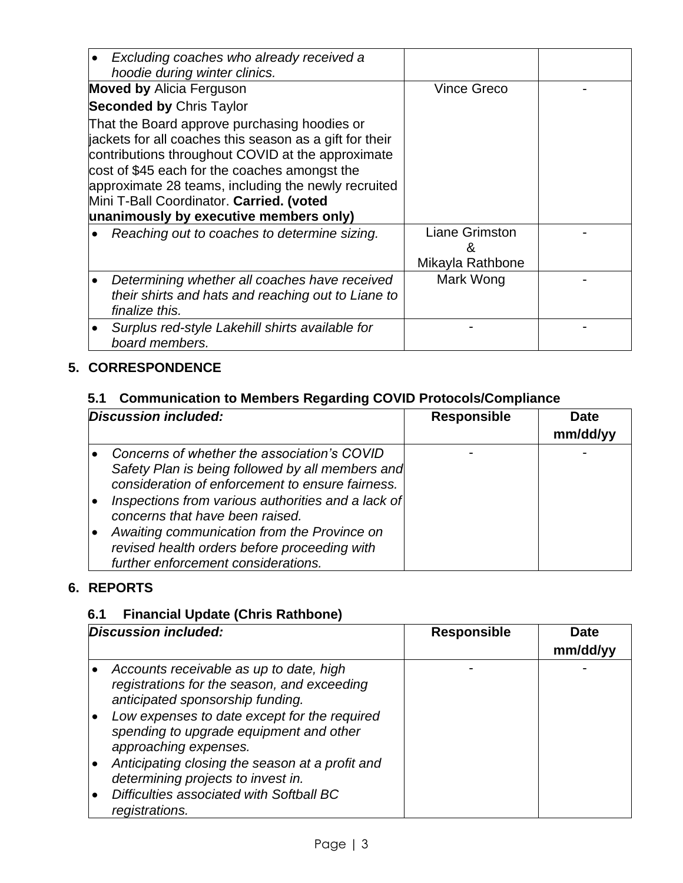| Excluding coaches who already received a<br>hoodie during winter clinics.                                                                                                                                                                                                                                                                                  |                                         |  |
|------------------------------------------------------------------------------------------------------------------------------------------------------------------------------------------------------------------------------------------------------------------------------------------------------------------------------------------------------------|-----------------------------------------|--|
| <b>Moved by Alicia Ferguson</b>                                                                                                                                                                                                                                                                                                                            | <b>Vince Greco</b>                      |  |
| <b>Seconded by Chris Taylor</b>                                                                                                                                                                                                                                                                                                                            |                                         |  |
| That the Board approve purchasing hoodies or<br>jackets for all coaches this season as a gift for their<br>contributions throughout COVID at the approximate<br>cost of \$45 each for the coaches amongst the<br>approximate 28 teams, including the newly recruited<br>Mini T-Ball Coordinator. Carried. (voted<br>unanimously by executive members only) |                                         |  |
| Reaching out to coaches to determine sizing.                                                                                                                                                                                                                                                                                                               | Liane Grimston<br>ጼ<br>Mikayla Rathbone |  |
| Determining whether all coaches have received<br>their shirts and hats and reaching out to Liane to<br>finalize this.                                                                                                                                                                                                                                      | Mark Wong                               |  |
| Surplus red-style Lakehill shirts available for<br>board members.                                                                                                                                                                                                                                                                                          |                                         |  |

## **5. CORRESPONDENCE**

## **5.1 Communication to Members Regarding COVID Protocols/Compliance**

| Discussion included:                                                                                                                                                                                                                                                                                                                                                               | <b>Responsible</b> | <b>Date</b><br>mm/dd/yy |
|------------------------------------------------------------------------------------------------------------------------------------------------------------------------------------------------------------------------------------------------------------------------------------------------------------------------------------------------------------------------------------|--------------------|-------------------------|
| Concerns of whether the association's COVID<br>Safety Plan is being followed by all members and<br>consideration of enforcement to ensure fairness.<br>Inspections from various authorities and a lack of<br>concerns that have been raised.<br>Awaiting communication from the Province on<br>revised health orders before proceeding with<br>further enforcement considerations. |                    |                         |

## **6. REPORTS**

#### **6.1 Financial Update (Chris Rathbone)**

| <b>Discussion included:</b>                                                                                                                                                                                                                    | <b>Responsible</b> | <b>Date</b><br>mm/dd/yy |
|------------------------------------------------------------------------------------------------------------------------------------------------------------------------------------------------------------------------------------------------|--------------------|-------------------------|
| Accounts receivable as up to date, high<br>registrations for the season, and exceeding<br>anticipated sponsorship funding.<br>Low expenses to date except for the required<br>spending to upgrade equipment and other<br>approaching expenses. |                    |                         |
| Anticipating closing the season at a profit and<br>determining projects to invest in.<br>Difficulties associated with Softball BC<br>registrations.                                                                                            |                    |                         |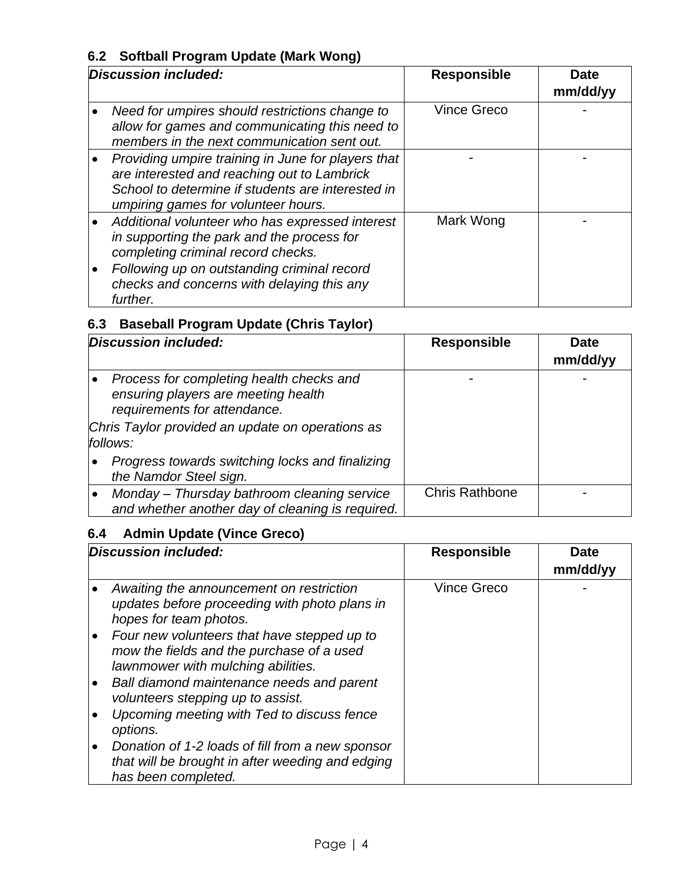### **6.2 Softball Program Update (Mark Wong)**

| Discussion included:                                                                                                                                                                                                                         | <b>Responsible</b> | <b>Date</b><br>mm/dd/yy |
|----------------------------------------------------------------------------------------------------------------------------------------------------------------------------------------------------------------------------------------------|--------------------|-------------------------|
| Need for umpires should restrictions change to<br>allow for games and communicating this need to<br>members in the next communication sent out.                                                                                              | <b>Vince Greco</b> |                         |
| Providing umpire training in June for players that<br>are interested and reaching out to Lambrick<br>School to determine if students are interested in<br>umpiring games for volunteer hours.                                                |                    |                         |
| Additional volunteer who has expressed interest<br>in supporting the park and the process for<br>completing criminal record checks.<br>Following up on outstanding criminal record<br>checks and concerns with delaying this any<br>further. | Mark Wong          |                         |

## **6.3 Baseball Program Update (Chris Taylor)**

| Discussion included:                                                                                                                                                            | <b>Responsible</b>    | <b>Date</b><br>mm/dd/yy |
|---------------------------------------------------------------------------------------------------------------------------------------------------------------------------------|-----------------------|-------------------------|
| Process for completing health checks and<br>ensuring players are meeting health<br>requirements for attendance.<br>Chris Taylor provided an update on operations as<br>follows: |                       |                         |
| Progress towards switching locks and finalizing<br>the Namdor Steel sign.                                                                                                       |                       |                         |
| Monday - Thursday bathroom cleaning service<br>and whether another day of cleaning is required.                                                                                 | <b>Chris Rathbone</b> |                         |

#### **6.4 Admin Update (Vince Greco)**

| Discussion included: |                                                                                                                                | <b>Responsible</b> | <b>Date</b><br>mm/dd/yy |
|----------------------|--------------------------------------------------------------------------------------------------------------------------------|--------------------|-------------------------|
|                      | Awaiting the announcement on restriction<br>updates before proceeding with photo plans in<br>hopes for team photos.            | <b>Vince Greco</b> |                         |
|                      | Four new volunteers that have stepped up to<br>mow the fields and the purchase of a used<br>lawnmower with mulching abilities. |                    |                         |
|                      | Ball diamond maintenance needs and parent<br>volunteers stepping up to assist.                                                 |                    |                         |
|                      | Upcoming meeting with Ted to discuss fence<br>options.                                                                         |                    |                         |
|                      | Donation of 1-2 loads of fill from a new sponsor<br>that will be brought in after weeding and edging<br>has been completed.    |                    |                         |